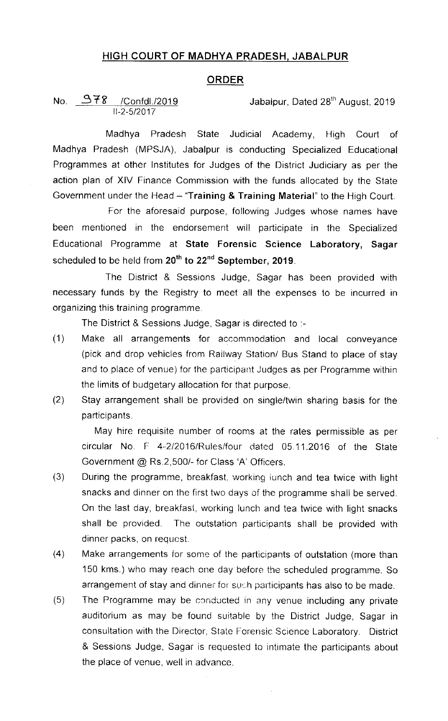## HIGH COURT OF MADHYA PRADESH, JABALPUR

## ORDER

No.  $378$  /Confdl./2019 Jabalpur, Dated 28<sup>th</sup> August, 2019  $II - 2 - 5/2 0 17$ 

Madhya Pradesh State Judicial Academy, High Court of Madhya Pradesh (MPSJA), Jabalpur is conducting Specialized Educational Programmes at other Institutes for Judges of the District Judiciary as per the action plan of XIV Finance Commission with the funds allocated by the State Government under the Head  $-$  "Training & Training Material" to the High Court.

For the aforesaid purpose, following Judges whose names have been mentioned in the endorsement will participate in the Specialized Educational Programme at State Forensic Science Laboratory, Sagar scheduled to be held from 20<sup>th</sup> to 22<sup>nd</sup> September, 2019.

The District & Sessions Judge, Sagar has been provided with necessary funds by the Registry to meet all the expenses to be incurred in organizing this training programme

The District & Sessions Judge, Sagar is directed to .-

- (1) Make all arrangements for accommodation and local conveyance (pick and drop vehicles from Railway Station/ Bus Stand to place of stay and to place of venue) for the participant Judges as per Programme within the limits of budgetary allocation for that purpose.
- (2) Stay arrangement shall be provided on single/twin sharing basis for the participants.

May hire requisite number of rooms at the rates permissible as per circular No. F 4-2/2016/Rules/four dated 05.11.2016 of the State Government @ Rs.2,500/- for Class 'A' Officers.

- (3) During the programme, breakfast, working lunch and tea twice with light snacks and dinner on the first two days of the programme shall be served On the last day, breakfast, working lunch and tea twice with light snacks shall be provided. The outstation participants shall be provided with dinner packs, on request.
- (4) Make arrangements for some of the participants of outstation (more than 150 kms.) who may reach one day before the scheduled programme So arrangement of stay and dinner for such participants has also to be made.
- $(5)$  The Programme may be conducted in any venue including any private auditorium as may be found suitable by the District Judge, Sagar in consultation with the Director, State Forensic Science Laboratory. District & Sessions Judge, Sagar is requested to Intimate the participants about the place of venue, well in advance.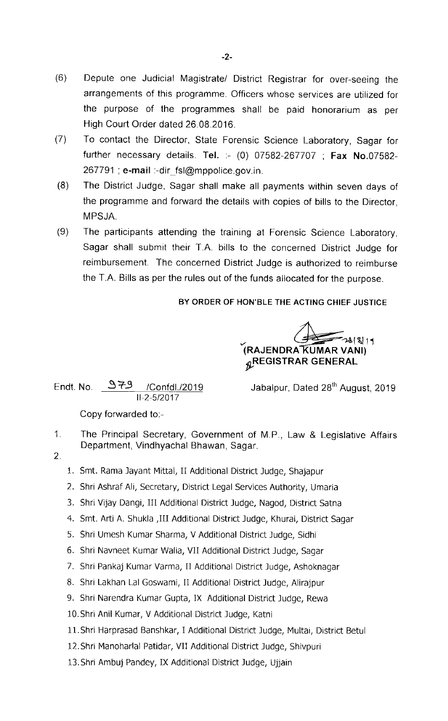- (6) Depute one Judicial Magistrate/ District Registrar for over-seeing the arrangements of this programme. Officers whose services are utilized for the purpose of the programmes shall be paid honorarium as per High Court Order dated 26 08 2016.
- (7) To contact the Director, State Forensic Science Laboratory, Sagar for further necessary details. Tel. :- (0) 07582-267707 ; Fax No.07582-267791 ; e-mail :-dir\_fsl@mppolice.gov.in.
- (8) The District Judge, Sagar shall make all payments within seven days of the programme and forward the details with copies of bills to the Director, MPSJA.
- (9) The participants attending the training at Forensic Science Laboratory, Sagar shall submit their T.A. bills to the concerned District Judge for reimbursement. The concerned District Judge is authorized to reimburse the T.A. Bills as per the rules out of the funds allocated for the purpose.

## BY ORDER OF HON'BLE THE ACTING CHIEF JUSTICE

 $73818111$ (RAJENDRA KUMAR VANI)  $R$ REGISTRAR GENERAL

Endt. No.  $979$  /Confdl./2019 11-2-5/2017

Jabalpur, Dated 28<sup>th</sup> August, 2019

Copy forwarded to.-

- $1<sub>1</sub>$ The Principal Secretary, Government of M.P., Law & Legislative Affairs Department, Vindhyachal Bhawan, Sagar.
- $\overline{2}$ .
- 1. Smt. Rama Jayant Mittal,11 Additional District Judge, Shajapur
- 2. Shri Ashraf Ali, Secretary, District Legal Services Authority, Umaria
- 3. Shri Vijay Dangi, Ill Additional District Judge, Nagod, District Satna
- 4. Smt. Arti A. Shukla ,Ill Additional District Judge, Khurai, District Sagar
- 5. Shri Umesh Kumar Sharma, V Additional District Judge, Sidhi
- 6. Shri Navneet Kumar Walia, VII Additional District Judge, Sagar
- 7. Shri Pankaj Kumar Varma, TI Additional District Judge, Ashoknagar
- 8. Shri Lakhan Lal Goswami, II Additional District Judge, Alirajpur
- 9. Shri Narendra Kumar Gupta, IX Additional District Judge, Rewa
- 10. Shri Anil Kumar, V Additional District Judge, Katni
- 11.Shri Harprasad Banshkar, I Additional Distrlct Judge, Multai, District Betul
- 12.Shri Manoharlal Patidar, VII Additional District Judge, Shivpuri
- 13. Shri Ambuj Pandey, IX Additional District Judge, Ujjain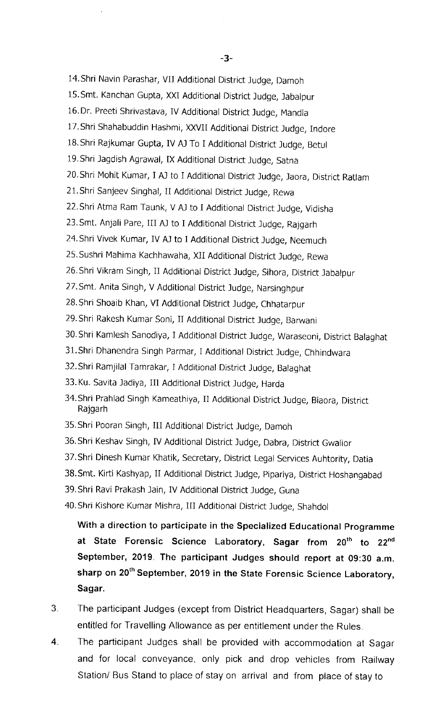- 14. Shri Navin Parashar, VII Additional District Judge, Damoh
- 15.Smt. Kanchan Gupta, XX[ Additional District Judge, Jabalpur
- 16. Dr. Preeti Shrivastava, IV Additional District Judge, Mandla
- 17.Shri Shahabuddin Hashmi, XXVII Additional District Judge, Indore
- 18.Shri Rajkumar Gupta, IV AJ To I Additional District Judge, Betul
- 19. Shri Jagdish Agrawal, IX Additional District Judge, Satna
- 20. Shri Mohit Kumar, I AJ to I Additional District Judge, Jaora, District Ratlam
- 21. Shri Sanjeev Singhal, II Additional District Judge, Rewa
- 22. Shri Atma Ram Taunk, V AJ to I Additional District Judge, Vidisha
- 23. Smt. Anjali Pare, III AJ to I Additional District Judge, Rajgarh
- 24.Shri Vivek Kumar, IV AJ to I Additional District Judge, Neemuch
- 25.Sushri Mahima Kachhawaha, XII Addltional District Judge, Rewa
- 26. Shri Vikram Singh, II Additional District Judge, Sihora, District Jabalpur
- 27. Smt. Anita Singh, V Additional District Judge, Narsinghpur
- 28.Shri Shoalb Khan, VI Additional District Judge, Chhatarpur
- 29. Shri Rakesh Kumar Soni, II Additional District Judge, Barwani
- 30. Shri Kamlesh Sanodiya, I Additional District Judge, Waraseoni, District Balaghat
- 31. Shri Dhanendra Singh Parmar, I Additional District Judge, Chhindwara
- 32.Shri Ramjilal Tamrakar, I Addltional District Judge, Balaghat
- 33. Ku. Savita Jadiya, III Additional District Judge, Harda
- 34. Shri Prahlad Singh Kameathiya, II Additional District Judge, Biaora, District Rajgarh
- 35. Shri Pooran Singh, III Additional District Judge, Damoh
- 36. Shri Keshav Singh, IV Additional District Judge, Dabra, District Gwalior
- 37.Shri Dinesh Kumar Khatik, Secretary, District Legal Services Auhtority, Datia
- 38.Smt. Kirti Kashyap, II Additional District Judge, Pipariya, District Hoshangabad
- 39. Shri Ravi Prakash Jain, IV Additional District Judge, Guna
- 40. Shri Kishore Kumar Mishra, III Additional District Judge, Shahdol

With a direction to participate in the Specialized Educational Programme at State Forensic Science Laboratory, Sagar from 20<sup>th</sup> to 22<sup>nd</sup> September, 2019. The participant Judges should report at 09:30 a.m. sharp on 20<sup>th</sup> September, 2019 in the State Forensic Science Laboratory, Sagar.

- The participant Judges (except from District Headquarters, Sagar) shall be  $3.$ entitled for Travelling Allowance as per entitlement under the Rules
- 4. The participant Judges shall be provided with accommodation at Sagar and for local conveyance, only pick and drop vehicles from Railway Station/ Bus Stand to place of stay on arrival and from place of stay to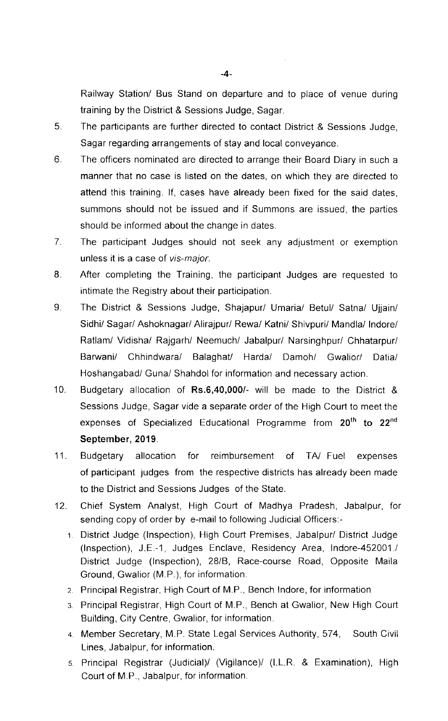Railway Station/ Bus Stand on departure and to place of venue during training by the District & Sessions Judge, Sagar.

- 5. The participants are further directed to contact District & Sessions Judge, Sagar regarding arrangements of stay and local conveyance.
- 6 The officers nominated are directed to arrange their Board Diary in such a manner that no case is listed on the dates, on which they are directed to attend this training. If, cases have already been fixed for the said dates, summons should not be issued and if Summons are issued, the parties should be informed about the change in dates.
- $7<sub>1</sub>$ The participant Judges should not seek any adjustment or exemption unless it is a case of vis-major.
- 8. After completing the Training, the participant Judges are requested to intimate the Registry about their participation.
- 9. The District & Sessions Judge, Shajapur/ Umaria/ Betul/ Satna/ Ujjain/ Sidhi/ Sagar/ Ashoknagar/ Alirajpur/ Rewa/ Katni/ Shivpuri/ Mandla/ Indore/ Ratlam/ Vidisha/ Rajgarh/ Neemuch/ Jabalpur/ Narsinghpur/ Chhatarpur/ Barwani/ Chhindwara/ Balaghat/ Harda/ Damoh/ Gwalior/ Datia/ Hoshangabad/ Guna/ Shahdol for information and necessary action.
- 10. Budgetary allocation of Rs.6,40,000/-will be made to the District & Sessions Judge, Sagar vide a separate order of the High Court to meet the expenses of Specialized Educational Programme from 20<sup>th</sup> to 22<sup>nd</sup> September, 2019.
- 11. Budgetary allocation for reimbursement of TA/ Fuel expenses of participant judges from the respective districts has already been made to the District and Sessions Judges of the State
- 12. Chief System Analyst, High Court of Madhya Pradesh, Jabalpur, for sending copy of order by e-mail to following Judicial Officers:-
	- 1 District Judge (Inspection), High Court Premises, Jabalpur/ District Judge (Inspection), J.E -1, Judges Enclave, Residency Area, lndore-452001 / District Judge (Inspection), 28/8, Race-course Road, Opposite Maila Ground, Gwalior (M.P.), for information.
	- 2. Principal Registrar, High Court of M.P., Bench Indore, for information
	- 3 Principal Registrar, High Court of M.P., Bench at Gwalior, New High Court Building, City Centre, Gwalior, for information.
	- 4 Member secretary, M.P. State Legal services Authority, 574, South civil Lines, Jabalpur, for information.
	- 5 Principal Registrar (Judicial)/ (Vigilance)/ (I.L.R. & Examination), High Court of M.P., Jabalpur, for information